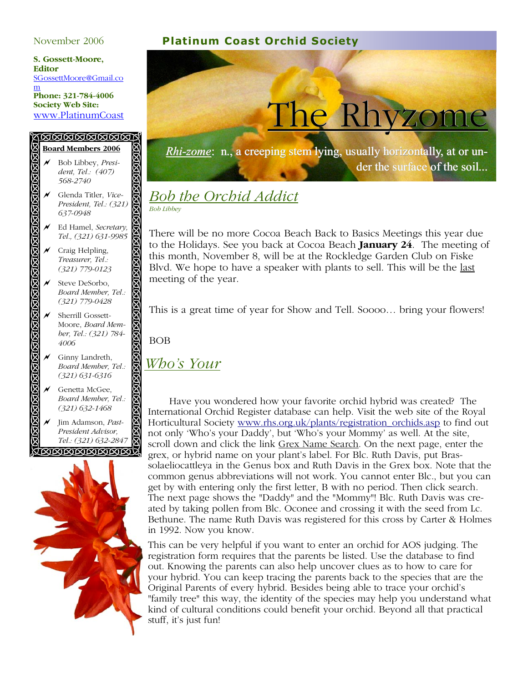**S. Gossett-Moore, Editor**  SGossettMoore@Gmail.co m **Phone: 321-784-4006 Society Web Site:**  www.PlatinumCoast

### <u>KAAAAAAAAN</u>

- **Board Members 2006** ହ ! Bob Libbey, *Presi-*Ø ⊠ *dent, Tel.: (407)*  ≅ R *568-2740*  $\boxtimes$ ! Glenda Titler, *Vice-*রেরে
	- *President, Tel.: (321) 637-0948*
	- ! Ed Hamel, *Secretary, Tel., (321) 631-9985*  $\overline{\mathcal{M}}$  Craig Helpling,
- **ARBORA SA SA SA SA SA** *Treasurer, Tel.: (321) 779-0123*
	- $\overline{\mathscr{N}}$  Steve DeSorbo, *Board Member, Tel.: (321) 779-0428*
	- $\overline{\mathscr{N}}$  Sherrill Gossett-Moore, *Board Member, Tel.: (321) 784- 4006*
	- $\overline{\mathcal{M}}$  Ginny Landreth, *Board Member, Tel.: (321) 631-6316*

0000000000

ē

! Genetta McGee, *Board Member, Tel.: (321) 632-1468*

ğ ! Jim Adamson, *Past-President Advisor, Tel.: (321) 632-2847* <u>AMMAMMAM</u>



### November 2006 **Platinum Coast Orchid Society**

# The R

*Rhi-zome*: n., a creeping stem lying, usually horizontally, at or under the surface of the soil...

*Bob the Orchid Addict Bob Libbey* 

There will be no more Cocoa Beach Back to Basics Meetings this year due to the Holidays. See you back at Cocoa Beach **January 24**. The meeting of this month, November 8, will be at the Rockledge Garden Club on Fiske Blvd. We hope to have a speaker with plants to sell. This will be the last meeting of the year.

This is a great time of year for Show and Tell. Soooo… bring your flowers!

BOB

⊠ Ø

 $\boxtimes$ 

*Who's Your* 

 Have you wondered how your favorite orchid hybrid was created? The International Orchid Register database can help. Visit the web site of the Royal Horticultural Society www.rhs.org.uk/plants/registration\_orchids.asp to find out not only 'Who's your Daddy', but 'Who's your Mommy' as well. At the site, scroll down and click the link Grex Name Search. On the next page, enter the grex, or hybrid name on your plant's label. For Blc. Ruth Davis, put Brassolaeliocattleya in the Genus box and Ruth Davis in the Grex box. Note that the common genus abbreviations will not work. You cannot enter Blc., but you can get by with entering only the first letter, B with no period. Then click search. The next page shows the "Daddy" and the "Mommy"! Blc. Ruth Davis was created by taking pollen from Blc. Oconee and crossing it with the seed from Lc. Bethune. The name Ruth Davis was registered for this cross by Carter & Holmes in 1992. Now you know.

This can be very helpful if you want to enter an orchid for AOS judging. The registration form requires that the parents be listed. Use the database to find out. Knowing the parents can also help uncover clues as to how to care for your hybrid. You can keep tracing the parents back to the species that are the Original Parents of every hybrid. Besides being able to trace your orchid's "family tree" this way, the identity of the species may help you understand what kind of cultural conditions could benefit your orchid. Beyond all that practical stuff, it's just fun!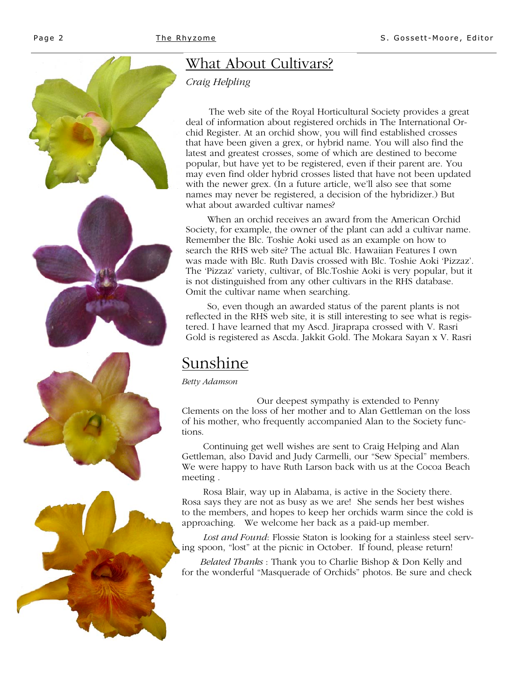

## What About Cultivars?

### *Craig Helpling*

 The web site of the Royal Horticultural Society provides a great deal of information about registered orchids in The International Orchid Register. At an orchid show, you will find established crosses that have been given a grex, or hybrid name. You will also find the latest and greatest crosses, some of which are destined to become popular, but have yet to be registered, even if their parent are. You may even find older hybrid crosses listed that have not been updated with the newer grex. (In a future article, we'll also see that some names may never be registered, a decision of the hybridizer.) But what about awarded cultivar names?

 When an orchid receives an award from the American Orchid Society, for example, the owner of the plant can add a cultivar name. Remember the Blc. Toshie Aoki used as an example on how to search the RHS web site? The actual Blc. Hawaiian Features I own was made with Blc. Ruth Davis crossed with Blc. Toshie Aoki 'Pizzaz'. The 'Pizzaz' variety, cultivar, of Blc.Toshie Aoki is very popular, but it is not distinguished from any other cultivars in the RHS database. Omit the cultivar name when searching.

 So, even though an awarded status of the parent plants is not reflected in the RHS web site, it is still interesting to see what is registered. I have learned that my Ascd. Jiraprapa crossed with V. Rasri Gold is registered as Ascda. Jakkit Gold. The Mokara Sayan x V. Rasri

# Sunshine

*Betty Adamson* 

Our deepest sympathy is extended to Penny Clements on the loss of her mother and to Alan Gettleman on the loss of his mother, who frequently accompanied Alan to the Society functions.

 Continuing get well wishes are sent to Craig Helping and Alan Gettleman, also David and Judy Carmelli, our "Sew Special" members. We were happy to have Ruth Larson back with us at the Cocoa Beach meeting .

 Rosa Blair, way up in Alabama, is active in the Society there. Rosa says they are not as busy as we are! She sends her best wishes to the members, and hopes to keep her orchids warm since the cold is approaching. We welcome her back as a paid-up member.

 *Lost and Found*: Flossie Staton is looking for a stainless steel serving spoon, "lost" at the picnic in October. If found, please return!

 *Belated Thanks* : Thank you to Charlie Bishop & Don Kelly and for the wonderful "Masquerade of Orchids" photos. Be sure and check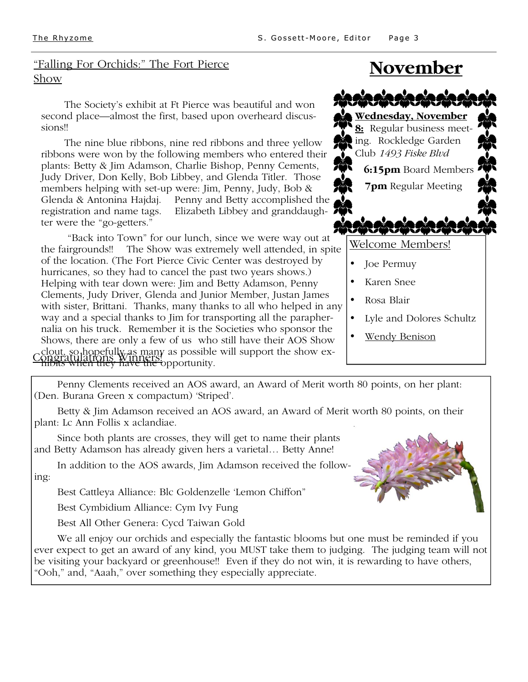### "Falling For Orchids:" The Fort Pierce Show

 The Society's exhibit at Ft Pierce was beautiful and won second place—almost the first, based upon overheard discussions!!

 The nine blue ribbons, nine red ribbons and three yellow ribbons were won by the following members who entered their plants: Betty & Jim Adamson, Charlie Bishop, Penny Cements, Judy Driver, Don Kelly, Bob Libbey, and Glenda Titler. Those members helping with set-up were: Jim, Penny, Judy, Bob & Glenda & Antonina Hajdaj. Penny and Betty accomplished the registration and name tags. Elizabeth Libbey and granddaughter were the "go-getters."

clout, so hopefully as many as possible will support the show ex-<br>Congratulations Winners: "Back into Town" for our lunch, since we were way out at the fairgrounds!! The Show was extremely well attended, in spite of the location. (The Fort Pierce Civic Center was destroyed by hurricanes, so they had to cancel the past two years shows.) Helping with tear down were: Jim and Betty Adamson, Penny Clements, Judy Driver, Glenda and Junior Member, Justan James with sister, Brittani. Thanks, many thanks to all who helped in any way and a special thanks to Jim for transporting all the paraphernalia on his truck. Remember it is the Societies who sponsor the Shows, there are only a few of us who still have their AOS Show **hibits when they have the opportunity.** 



- Lyle and Dolores Schultz
- **Wendy Benison**

 Penny Clements received an AOS award, an Award of Merit worth 80 points, on her plant: (Den. Burana Green x compactum) 'Striped'.

 Betty & Jim Adamson received an AOS award, an Award of Merit worth 80 points, on their plant: Lc Ann Follis x aclandiae.

 Since both plants are crosses, they will get to name their plants and Betty Adamson has already given hers a varietal… Betty Anne!

 In addition to the AOS awards, Jim Adamson received the following:

Best Cattleya Alliance: Blc Goldenzelle 'Lemon Chiffon"

Best Cymbidium Alliance: Cym Ivy Fung

Best All Other Genera: Cycd Taiwan Gold

 We all enjoy our orchids and especially the fantastic blooms but one must be reminded if you ever expect to get an award of any kind, you MUST take them to judging. The judging team will not be visiting your backyard or greenhouse!! Even if they do not win, it is rewarding to have others, "Ooh," and, "Aaah," over something they especially appreciate.